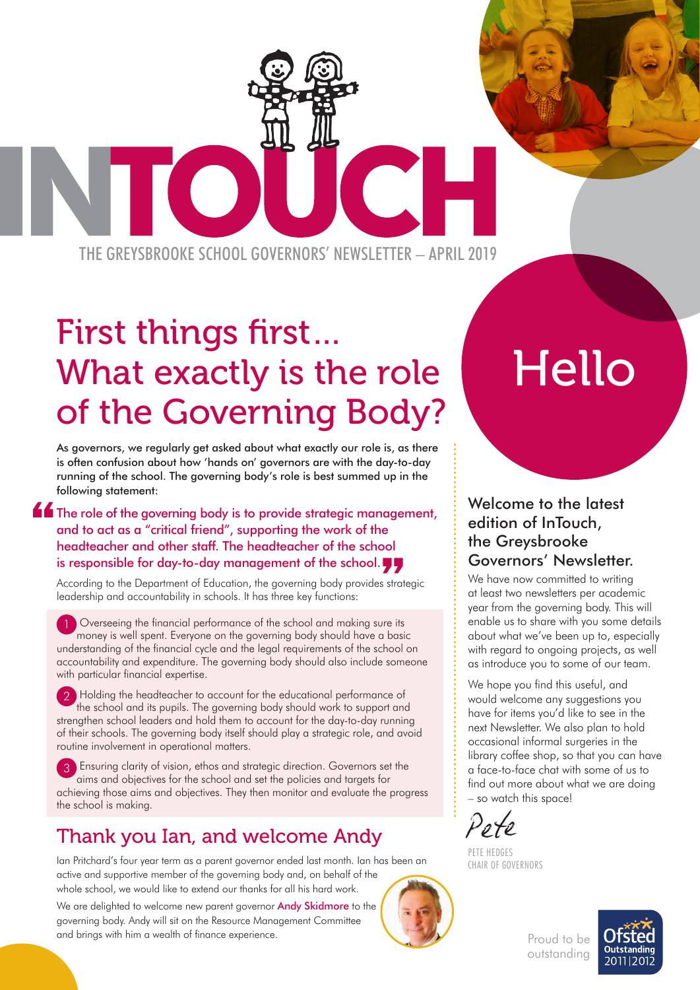THE GREYSBROOKE SCHOOL GOVERNORS' NEWSLETTER – APRIL 2019

# First things first… What exactly is the role of the Governing Body?

As governors, we regularly get asked about what exactly our role is, as there is often confusion about how 'hands on' governors are with the day-to-day running of the school. The governing body's role is best summed up in the following statement:

**The role of the governing body is to provide strategic management,** and to act as a "critical friend", supporting the work of the headteacher and other staff. The headteacher of the school is responsible for day-to-day management of the school.

According to the Department of Education, the governing body provides strategic leadership and accountability in schools. It has three key functions:

1 Overseeing the financial performance of the school and making sure its money is well spent. Everyone on the governing body should have a basic understanding of the financial cycle and the legal requirements of the school on accountability and expenditure. The governing body should also include someone with particular financial expertise.

 $\blacksquare$  Holding the headteacher to account for the educational performance of the school and its pupils. The governing body should work to support and strengthen school leaders and hold them to account for the day-to-day running of their schools. The governing body itself should play a strategic role, and avoid routine involvement in operational matters.

 3 Ensuring clarity of vision, ethos and strategic direction. Governors set the aims and objectives for the school and set the policies and targets for achieving those aims and objectives. They then monitor and evaluate the progress the school is making.

### Thank you Ian, and welcome Andy

Ian Pritchard's four year term as a parent governor ended last month. Ian has been an active and supportive member of the governing body and, on behalf of the whole school, we would like to extend our thanks for all his hard work.

We are delighted to welcome new parent governor **Andy Skidmore** to the governing body. Andy will sit on the Resource Management Committee and brings with him a wealth of finance experience.

# Hello

#### Welcome to the latest edition of InTouch, the Greysbrooke Governors' Newsletter.

We have now committed to writing at least two newsletters per academic year from the governing body. This will enable us to share with you some details about what we've been up to, especially with regard to ongoing projects, as well as introduce you to some of our team.

We hope you find this useful, and would welcome any suggestions you have for items you'd like to see in the next Newsletter. We also plan to hold occasional informal surgeries in the library coffee shop, so that you can have a face-to-face chat with some of us to find out more about what we are doing – so watch this space!

Pete

PETE HEDGES CHAIR OF GOVERNORS



Proud to be outstanding

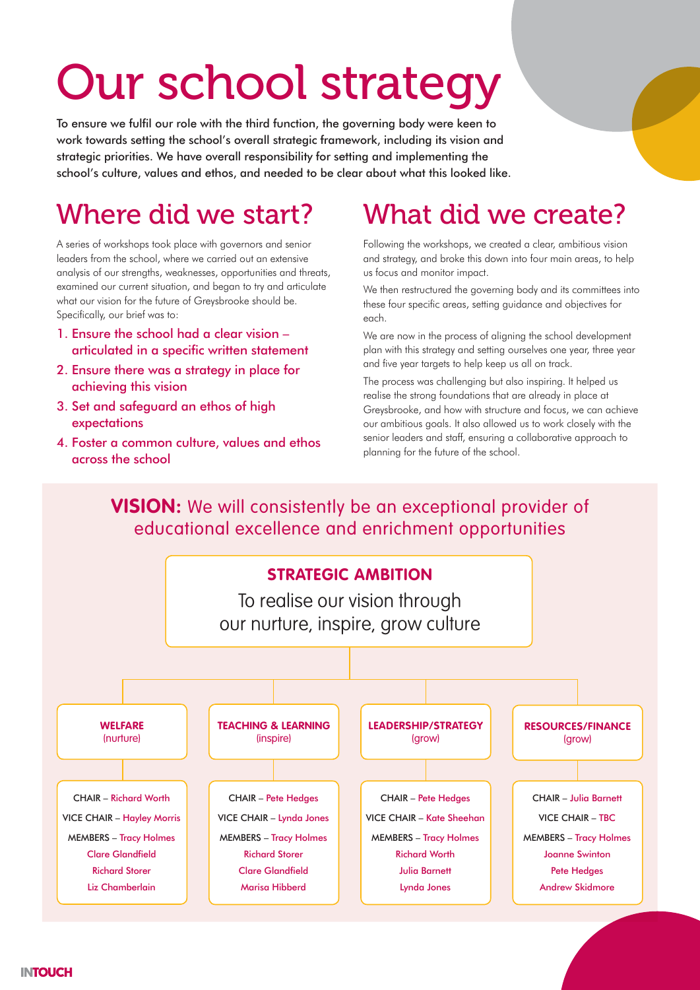# Our school strategy

To ensure we fulfil our role with the third function, the governing body were keen to work towards setting the school's overall strategic framework, including its vision and strategic priorities. We have overall responsibility for setting and implementing the school's culture, values and ethos, and needed to be clear about what this looked like.

### Where did we start?

A series of workshops took place with governors and senior leaders from the school, where we carried out an extensive analysis of our strengths, weaknesses, opportunities and threats, examined our current situation, and began to try and articulate what our vision for the future of Greysbrooke should be. Specifically, our brief was to:

- 1. Ensure the school had a clear vision articulated in a specific written statement
- 2. Ensure there was a strategy in place for achieving this vision
- 3. Set and safeguard an ethos of high expectations
- 4. Foster a common culture, values and ethos across the school

## What did we create?

Following the workshops, we created a clear, ambitious vision and strategy, and broke this down into four main areas, to help us focus and monitor impact.

We then restructured the governing body and its committees into these four specific areas, setting guidance and objectives for each.

We are now in the process of aligning the school development plan with this strategy and setting ourselves one year, three year and five year targets to help keep us all on track.

The process was challenging but also inspiring. It helped us realise the strong foundations that are already in place at Greysbrooke, and how with structure and focus, we can achieve our ambitious goals. It also allowed us to work closely with the senior leaders and staff, ensuring a collaborative approach to planning for the future of the school.

### **VISION:** We will consistently be an exceptional provider of educational excellence and enrichment opportunities

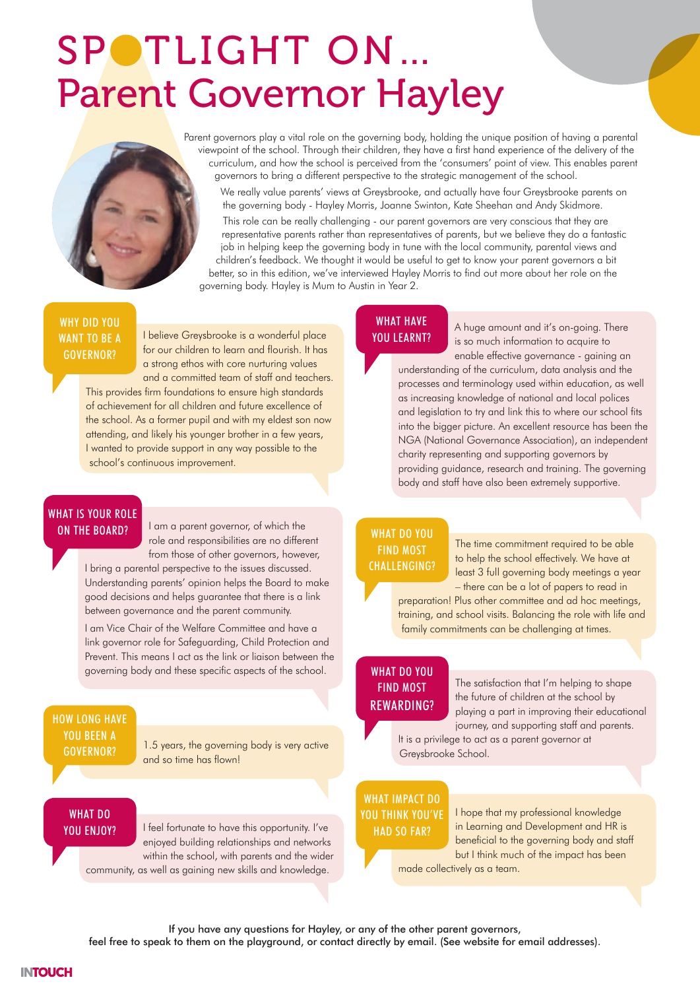# SPOTLIGHT ON ... Parent Governor Hayley

Parent governors play a vital role on the governing body, holding the unique position of having a parental viewpoint of the school. Through their children, they have a first hand experience of the delivery of the curriculum, and how the school is perceived from the 'consumers' point of view. This enables parent governors to bring a different perspective to the strategic management of the school.

We really value parents' views at Greysbrooke, and actually have four Greysbrooke parents on the governing body - Hayley Morris, Joanne Swinton, Kate Sheehan and Andy Skidmore.

This role can be really challenging - our parent governors are very conscious that they are representative parents rather than representatives of parents, but we believe they do a fantastic job in helping keep the governing body in tune with the local community, parental views and children's feedback. We thought it would be useful to get to know your parent governors a bit better, so in this edition, we've interviewed Hayley Morris to find out more about her role on the governing body. Hayley is Mum to Austin in Year 2.

#### WHY DID YOU WANT TO BE A GOVERNOR?

I believe Greysbrooke is a wonderful place for our children to learn and flourish. It has a strong ethos with core nurturing values and a committed team of staff and teachers.

This provides firm foundations to ensure high standards of achievement for all children and future excellence of the school. As a former pupil and with my eldest son now attending, and likely his younger brother in a few years, I wanted to provide support in any way possible to the school's continuous improvement.

#### WHAT IS YOUR ROLE ON THE BOARD?

I am a parent governor, of which the role and responsibilities are no different from those of other governors, however,

I bring a parental perspective to the issues discussed. Understanding parents' opinion helps the Board to make good decisions and helps guarantee that there is a link between governance and the parent community.

I am Vice Chair of the Welfare Committee and have a link governor role for Safeguarding, Child Protection and Prevent. This means I act as the link or liaison between the governing body and these specific aspects of the school.

#### HOW LONG HAVE YOU BEEN A GOVERNOR?

1.5 years, the governing body is very active and so time has flown!

#### WHAT DO YOU ENJOY?

I feel fortunate to have this opportunity. I've enjoyed building relationships and networks within the school, with parents and the wider community, as well as gaining new skills and knowledge.

#### WHAT HAVE YOU LEARNT?

A huge amount and it's on-going. There is so much information to acquire to enable effective governance - gaining an understanding of the curriculum, data analysis and the processes and terminology used within education, as well as increasing knowledge of national and local polices and legislation to try and link this to where our school fits into the bigger picture. An excellent resource has been the NGA (National Governance Association), an independent charity representing and supporting governors by providing guidance, research and training. The governing body and staff have also been extremely supportive.

#### WHAT DO YOU FIND MOST CHALLENGING?

The time commitment required to be able to help the school effectively. We have at least 3 full governing body meetings a year – there can be a lot of papers to read in

preparation! Plus other committee and ad hoc meetings, training, and school visits. Balancing the role with life and family commitments can be challenging at times.

#### WHAT DO YOU FIND MOST REWARDING?

The satisfaction that I'm helping to shape the future of children at the school by playing a part in improving their educational journey, and supporting staff and parents.

It is a privilege to act as a parent governor at Greysbrooke School.

#### WHAT IMPACT DO YOU THINK YOU'VE

HAD SO FAR?

I hope that my professional knowledge in Learning and Development and HR is beneficial to the governing body and staff but I think much of the impact has been made collectively as a team.

If you have any questions for Hayley, or any of the other parent governors,

feel free to speak to them on the playground, or contact directly by email. (See website for email addresses).